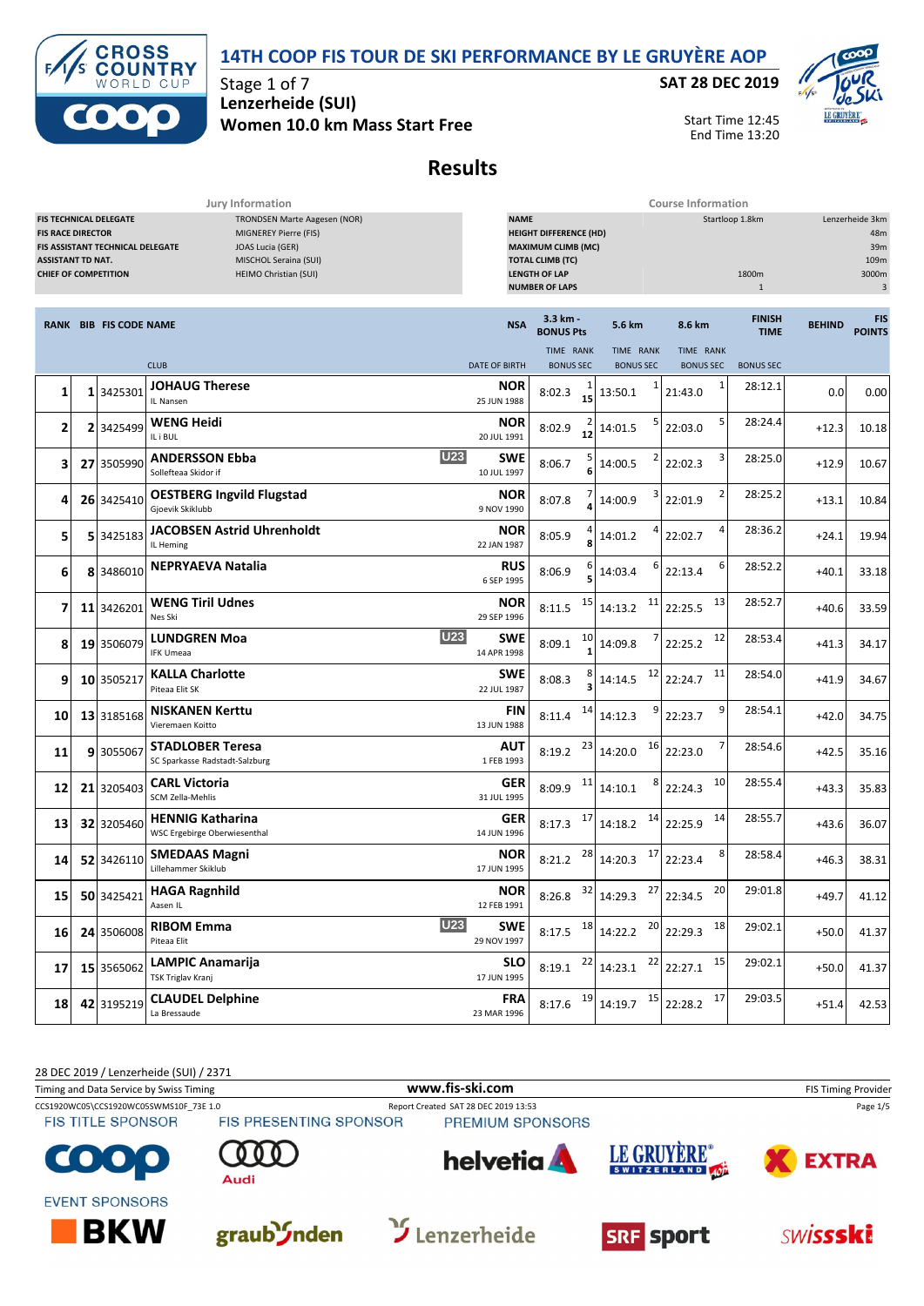



Stage 1 of 7 **Lenzerheide (SUI) Women 10.0 km Mass Start Free** **SAT 28 DEC 2019**



Start Time 12:45 End Time 13:20

# **Results**

|                 | Jury Information                                                                                                                                                                                                                                                                        |                               |                                                             |                           | <b>Course Information</b>                                                                                                              |    |                                                                                              |                                          |    |                              |               |                                                     |  |
|-----------------|-----------------------------------------------------------------------------------------------------------------------------------------------------------------------------------------------------------------------------------------------------------------------------------------|-------------------------------|-------------------------------------------------------------|---------------------------|----------------------------------------------------------------------------------------------------------------------------------------|----|----------------------------------------------------------------------------------------------|------------------------------------------|----|------------------------------|---------------|-----------------------------------------------------|--|
|                 | <b>FIS TECHNICAL DELEGATE</b><br>TRONDSEN Marte Aagesen (NOR)<br>MIGNEREY Pierre (FIS)<br><b>FIS RACE DIRECTOR</b><br>FIS ASSISTANT TECHNICAL DELEGATE<br>JOAS Lucia (GER)<br>MISCHOL Seraina (SUI)<br><b>ASSISTANT TD NAT.</b><br><b>CHIEF OF COMPETITION</b><br>HEIMO Christian (SUI) |                               |                                                             | <b>NAME</b>               | <b>HEIGHT DIFFERENCE (HD)</b><br><b>MAXIMUM CLIMB (MC)</b><br><b>TOTAL CLIMB (TC)</b><br><b>LENGTH OF LAP</b><br><b>NUMBER OF LAPS</b> |    |                                                                                              | Startloop 1.8km<br>1800m<br>$\mathbf{1}$ |    |                              |               | Lenzerheide 3km<br>48m<br>39m<br>109m<br>3000m<br>3 |  |
|                 |                                                                                                                                                                                                                                                                                         | <b>RANK BIB FIS CODE NAME</b> |                                                             | <b>NSA</b>                | 3.3 km -<br><b>BONUS Pts</b>                                                                                                           |    | 5.6 km                                                                                       | 8.6 km                                   |    | <b>FINISH</b><br><b>TIME</b> | <b>BEHIND</b> | <b>FIS</b><br><b>POINTS</b>                         |  |
|                 |                                                                                                                                                                                                                                                                                         |                               |                                                             |                           | TIME RANK                                                                                                                              |    | TIME RANK                                                                                    | TIME RANK                                |    |                              |               |                                                     |  |
|                 |                                                                                                                                                                                                                                                                                         |                               | <b>CLUB</b>                                                 | <b>DATE OF BIRTH</b>      | <b>BONUS SEC</b>                                                                                                                       |    | <b>BONUS SEC</b>                                                                             | <b>BONUS SEC</b>                         |    | <b>BONUS SEC</b>             |               |                                                     |  |
| 1               |                                                                                                                                                                                                                                                                                         | 1 3425301                     | <b>JOHAUG Therese</b><br>IL Nansen                          | <b>NOR</b><br>25 JUN 1988 | 8:02.3                                                                                                                                 | 15 | 13:50.1                                                                                      | 21:43.0                                  | 1  | 28:12.1                      | 0.0           | 0.00                                                |  |
| 2               |                                                                                                                                                                                                                                                                                         | 2 3425499                     | <b>WENG Heidi</b><br>IL i BUL                               | <b>NOR</b><br>20 JUL 1991 | 8:02.9                                                                                                                                 | 12 | 14:01.5                                                                                      | 22:03.0                                  | 5  | 28:24.4                      | $+12.3$       | 10.18                                               |  |
| 3               |                                                                                                                                                                                                                                                                                         | 27 3505990                    | <b>U23</b><br><b>ANDERSSON Ebba</b><br>Sollefteaa Skidor if | SWE<br>10 JUL 1997        | 8:06.7                                                                                                                                 |    | 14:00.5                                                                                      | 22:02.3                                  | 3  | 28:25.0                      | $+12.9$       | 10.67                                               |  |
| 4               |                                                                                                                                                                                                                                                                                         | 26 3425410                    | <b>OESTBERG Ingvild Flugstad</b><br>Gjoevik Skiklubb        | <b>NOR</b><br>9 NOV 1990  | 8:07.8                                                                                                                                 |    | 14:00.9                                                                                      | 22:01.9                                  | 2  | 28:25.2                      | $+13.1$       | 10.84                                               |  |
| 5               |                                                                                                                                                                                                                                                                                         | 5 3425183                     | <b>JACOBSEN Astrid Uhrenholdt</b><br>IL Heming              | <b>NOR</b><br>22 JAN 1987 | 8:05.9                                                                                                                                 |    | 14:01.2                                                                                      | 22:02.7                                  | 4  | 28:36.2                      | $+24.1$       | 19.94                                               |  |
| 6               |                                                                                                                                                                                                                                                                                         | 8 3486010                     | <b>NEPRYAEVA Natalia</b>                                    | <b>RUS</b><br>6 SEP 1995  | 8:06.9                                                                                                                                 |    | 14:03.4                                                                                      | 22:13.4                                  | 6  | 28:52.2                      | $+40.1$       | 33.18                                               |  |
| 7               |                                                                                                                                                                                                                                                                                         | 11 3426201                    | <b>WENG Tiril Udnes</b><br>Nes Ski                          | <b>NOR</b><br>29 SEP 1996 | 8:11.5                                                                                                                                 | 15 | 11<br>14:13.2                                                                                | 22:25.5                                  | 13 | 28:52.7                      | $+40.6$       | 33.59                                               |  |
| 8               |                                                                                                                                                                                                                                                                                         | 19 3506079                    | <b>U23</b><br><b>LUNDGREN Moa</b><br><b>IFK Umeaa</b>       | SWE<br>14 APR 1998        | 8:09.1                                                                                                                                 | 10 | 14:09.8                                                                                      | 22:25.2                                  | 12 | 28:53.4                      | $+41.3$       | 34.17                                               |  |
| 9               |                                                                                                                                                                                                                                                                                         | 10 3505217                    | <b>KALLA Charlotte</b><br>Piteaa Elit SK                    | SWE<br>22 JUL 1987        | 8:08.3                                                                                                                                 |    | 12<br>14:14.5                                                                                | 22:24.7                                  | 11 | 28:54.0                      | $+41.9$       | 34.67                                               |  |
| 10              |                                                                                                                                                                                                                                                                                         | 13 3185168                    | <b>NISKANEN Kerttu</b><br>Vieremaen Koitto                  | FIN<br>13 JUN 1988        | 8:11.4                                                                                                                                 | 14 | 14:12.3                                                                                      | 22:23.7                                  | 9  | 28:54.1                      | $+42.0$       | 34.75                                               |  |
| 11              |                                                                                                                                                                                                                                                                                         | 9 3055067                     | <b>STADLOBER Teresa</b><br>SC Sparkasse Radstadt-Salzburg   | AUT<br>1 FEB 1993         | 8:19.2                                                                                                                                 | 23 | 16<br>14:20.0                                                                                | 22:23.0                                  | 7  | 28:54.6                      | $+42.5$       | 35.16                                               |  |
| 12              |                                                                                                                                                                                                                                                                                         | 21 3205403                    | <b>CARL Victoria</b><br>SCM Zella-Mehlis                    | <b>GER</b><br>31 JUL 1995 | 8:09.9                                                                                                                                 | 11 | 14:10.1                                                                                      | 22:24.3                                  | 10 | 28:55.4                      | $+43.3$       | 35.83                                               |  |
| 13              |                                                                                                                                                                                                                                                                                         | 32 3205460                    | <b>HENNIG Katharina</b><br>WSC Ergebirge Oberwiesenthal     | GER<br>14 JUN 1996        | 8:17.3                                                                                                                                 | 17 | 14<br>14:18.2                                                                                | 22:25.9                                  | 14 | 28:55.7                      | $+43.6$       | 36.07                                               |  |
| 14              |                                                                                                                                                                                                                                                                                         | 52 3426110                    | <b>SMEDAAS Magni</b><br>Lillehammer Skiklub                 | <b>NOR</b><br>17 JUN 1995 | 8:21.2                                                                                                                                 | 28 | 17<br>14:20.3                                                                                | 22:23.4                                  | 8  | 28:58.4                      | $+46.3$       | 38.31                                               |  |
| 15              |                                                                                                                                                                                                                                                                                         |                               | 50 3425421 HAGA Ragnhild<br>Aasen IL                        | <b>NOR</b><br>12 FEB 1991 |                                                                                                                                        |    | 8:26.8 $32 \begin{array}{ c c c c c } \hline 32 & 14:29.3 & 27 & 22:34.5 \hline \end{array}$ |                                          | 20 | 29:01.8                      | $+49.7$       | 41.12                                               |  |
| 16 <sup>1</sup> |                                                                                                                                                                                                                                                                                         | 24 3506008                    | <b>U23</b><br><b>RIBOM Emma</b><br>Piteaa Elit              | <b>SWE</b><br>29 NOV 1997 |                                                                                                                                        |    | 8:17.5 $18 \begin{array}{ c c c } \hline 14:22.2 & 20 \end{array}$ 22:29.3                   |                                          | 18 | 29:02.1                      | $+50.0$       | 41.37                                               |  |
| 17              |                                                                                                                                                                                                                                                                                         | 15 3565062                    | LAMPIC Anamarija<br>TSK Triglav Kranj                       | <b>SLO</b><br>17 JUN 1995 |                                                                                                                                        |    | 8:19.1 $^{22}$ 14:23.1 $^{22}$ 22:27.1                                                       |                                          | 15 | 29:02.1                      | $+50.0$       | 41.37                                               |  |
| 18              |                                                                                                                                                                                                                                                                                         | 42 3195219                    | <b>CLAUDEL Delphine</b><br>La Bressaude                     | <b>FRA</b><br>23 MAR 1996 | $8:17.6$ <sup>19</sup>                                                                                                                 |    | $14:19.7$ <sup>15</sup> 22:28.2                                                              |                                          | 17 | 29:03.5                      | $+51.4$       | 42.53                                               |  |

28 DEC 2019 / Lenzerheide (SUI) / 2371

Timing and Data Service by Swiss Timing **WWW.fis-Ski.com WWW.fis-Ski.com** FIS Timing Provider CCS1920WC05\CCS1920WC05SWMS10F\_73E 1.0 Report Created SAT 28 DEC 2019 13:53 Page 1/5<br>
FIS TITLE SPONSOR FIS PRESENTING SPONSOR PREMIUM SPONSORS **FIS TITLE SPONSOR** PREMIUM SPONSORS LE GRUYÈRE<sup>®</sup> **helvetia EXTRA** SWITZERLAND 407 **Audi EVENT SPONSORS**  $\mathbf{\hat{y}}$  Lenzerheide **BKW** graub *I*nden **SWISSSKi SRF** sport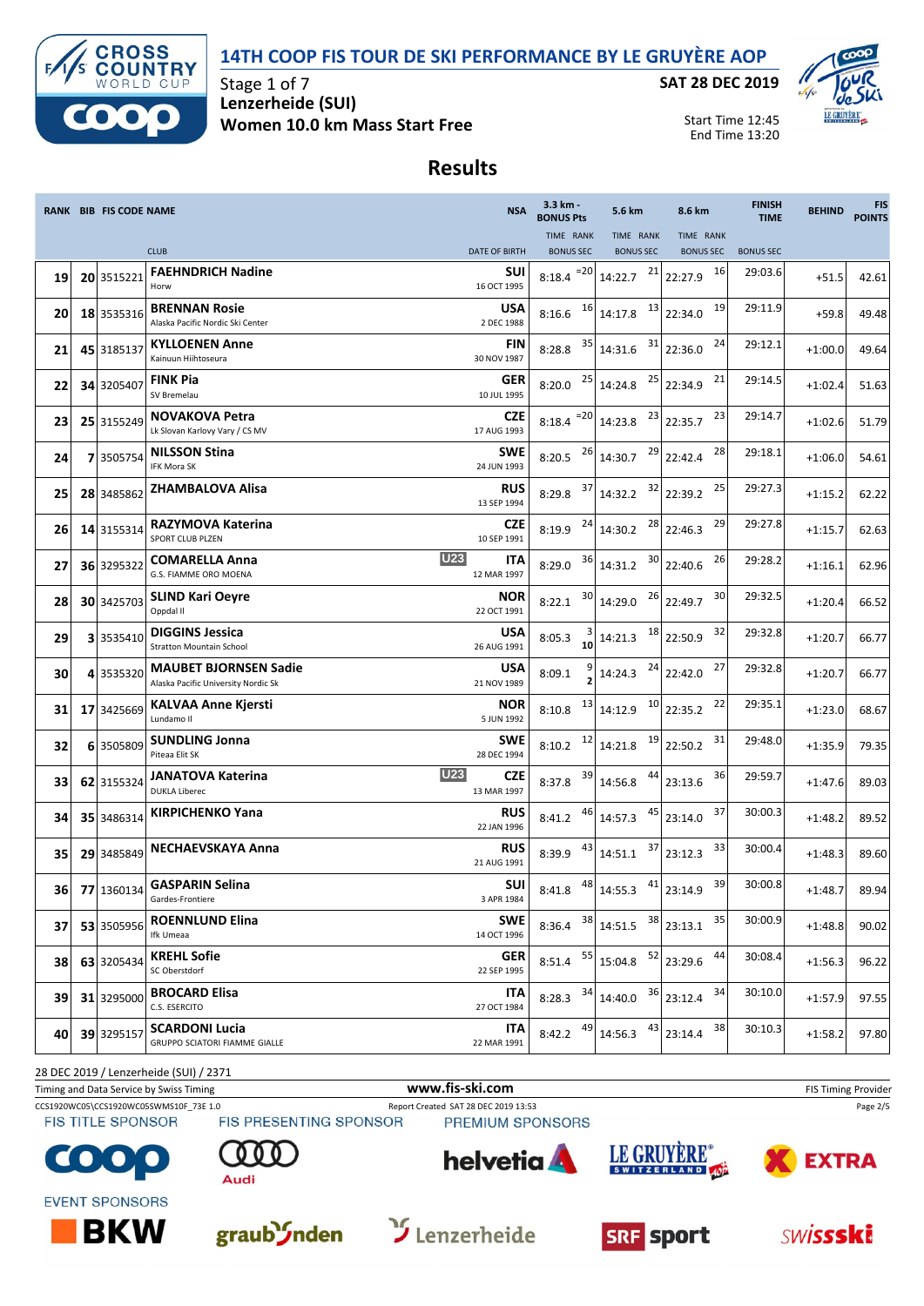



Stage 1 of 7 **Lenzerheide (SUI) Women 10.0 km Mass Start Free** **SAT 28 DEC 2019**



Start Time 12:45 End Time 13:20

## **Results**

|     | <b>RANK BIB FIS CODE NAME</b> |                                                                     | <b>NSA</b>                       | 3.3 km -<br><b>BONUS Pts</b>    | 5.6 km                    | 8.6 km                                              | <b>FINISH</b><br><b>TIME</b> | <b>BEHIND</b> | <b>FIS</b><br><b>POINTS</b> |
|-----|-------------------------------|---------------------------------------------------------------------|----------------------------------|---------------------------------|---------------------------|-----------------------------------------------------|------------------------------|---------------|-----------------------------|
|     |                               |                                                                     |                                  | TIME RANK                       | TIME RANK                 | TIME RANK                                           |                              |               |                             |
|     |                               | <b>CLUB</b>                                                         | <b>DATE OF BIRTH</b>             | <b>BONUS SEC</b>                | <b>BONUS SEC</b>          | <b>BONUS SEC</b>                                    | <b>BONUS SEC</b>             |               |                             |
| 19  | 20 3515221                    | <b>FAEHNDRICH Nadine</b><br>Horw                                    | SUI<br>16 OCT 1995               | $=20$<br>8:18.4                 | 21<br>14:22.7             | 16<br>22:27.9                                       | 29:03.6                      | $+51.5$       | 42.61                       |
| 20  | 18 3535316                    | <b>BRENNAN Rosie</b><br>Alaska Pacific Nordic Ski Center            | <b>USA</b><br>2 DEC 1988         | 16<br>8:16.6                    | 14:17.8                   | 19<br>$\begin{array}{c c} 13 & 22:34.0 \end{array}$ | 29:11.9                      | $+59.8$       | 49.48                       |
| 21  | 45 3185137                    | <b>KYLLOENEN Anne</b><br>Kainuun Hiihtoseura                        | <b>FIN</b><br>30 NOV 1987        | 35<br>8:28.8                    | 31<br>14:31.6             | 24<br>22:36.0                                       | 29:12.1                      | $+1:00.0$     | 49.64                       |
| 22  | 34 3205407                    | <b>FINK Pia</b><br>SV Bremelau                                      | GER<br>10 JUL 1995               | 8:20.0                          | $25$ 14:24.8              | 21<br>$25$ 22:34.9                                  | 29:14.5                      | $+1:02.4$     | 51.63                       |
| 23  | 25 3155249                    | <b>NOVAKOVA Petra</b><br>Lk Slovan Karlovy Vary / CS MV             | <b>CZE</b><br>17 AUG 1993        | $8:18.4$ <sup>=20</sup> 14:23.8 |                           | 23<br>$23$ 22:35.7                                  | 29:14.7                      | $+1:02.6$     | 51.79                       |
| 24  | 73505754                      | <b>NILSSON Stina</b><br><b>IFK Mora SK</b>                          | <b>SWE</b><br>24 JUN 1993        | 8:20.5 $^{26}$ 14:30.7          | 29                        | 28<br>22:42.4                                       | 29:18.1                      | $+1:06.0$     | 54.61                       |
| 25  | 28 3485862                    | <b>ZHAMBALOVA Alisa</b>                                             | <b>RUS</b><br>13 SEP 1994        | 37<br>8:29.8                    | 32<br>14:32.2             | 25<br>22:39.2                                       | 29:27.3                      | $+1:15.2$     | 62.22                       |
| 26  | 14 3155314                    | <b>RAZYMOVA Katerina</b><br>SPORT CLUB PLZEN                        | CZE<br>10 SEP 1991               | 8:19.9                          | 28<br>$24$ 14:30.2        | 29<br>22:46.3                                       | 29:27.8                      | $+1:15.7$     | 62.63                       |
| 27  | 36 3295322                    | <b>COMARELLA Anna</b><br>G.S. FIAMME ORO MOENA                      | <b>U23</b><br>ITA<br>12 MAR 1997 | 8:29.0                          | $36$ 14:31.2              | $30$ 22:40.6<br>26                                  | 29:28.2                      | $+1:16.1$     | 62.96                       |
| 28  | 30 3425703                    | <b>SLIND Kari Oeyre</b><br>Oppdal II                                | <b>NOR</b><br>22 OCT 1991        | 30<br>8:22.1                    | 14:29.0                   | 30<br>$26$ 22:49.7                                  | 29:32.5                      | $+1:20.4$     | 66.52                       |
| 29  | 3 3535410                     | <b>DIGGINS Jessica</b><br><b>Stratton Mountain School</b>           | <b>USA</b><br>26 AUG 1991        | 8:05.3<br>10                    | 18<br>14:21.3             | 32<br>22:50.9                                       | 29:32.8                      | $+1:20.7$     | 66.77                       |
| 30  | 4 3535320                     | <b>MAUBET BJORNSEN Sadie</b><br>Alaska Pacific University Nordic Sk | <b>USA</b><br>21 NOV 1989        | 8:09.1                          | 24<br>14:24.3             | 27<br>22:42.0                                       | 29:32.8                      | $+1:20.7$     | 66.77                       |
| 31  | 17 3425669                    | <b>KALVAA Anne Kjersti</b><br>Lundamo II                            | NOR<br>5 JUN 1992                | 13<br>8:10.8                    | 14:12.9                   | 22<br>$10$ 22:35.2                                  | 29:35.1                      | $+1:23.0$     | 68.67                       |
| 32  | 6 3505809                     | <b>SUNDLING Jonna</b><br>Piteaa Elit SK                             | <b>SWE</b><br>28 DEC 1994        | 12<br>8:10.2                    | 14:21.8                   | 31<br>$19$ 22:50.2                                  | 29:48.0                      | $+1:35.9$     | 79.35                       |
| 33  | 62 3155324                    | <b>JANATOVA Katerina</b><br><b>DUKLA Liberec</b>                    | <b>U23</b><br>CZE<br>13 MAR 1997 | 39<br>8:37.8                    | 44<br>14:56.8             | 36<br>23:13.6                                       | 29:59.7                      | $+1:47.6$     | 89.03                       |
| 34  | 35 3486314                    | <b>KIRPICHENKO Yana</b>                                             | <b>RUS</b><br>22 JAN 1996        | 46<br>8:41.2                    | 45<br>14:57.3             | 37<br>23:14.0                                       | 30:00.3                      | $+1:48.2$     | 89.52                       |
| 35  | 29 3485849                    | <b>NECHAEVSKAYA Anna</b>                                            | <b>RUS</b><br>21 AUG 1991        | 43<br>8:39.9                    | 37<br>14:51.1             | 33<br>23:12.3                                       | 30:00.4                      | $+1:48.3$     | 89.60                       |
| 361 | 77 1360134                    | <b>GASPARIN Selina</b><br>Gardes-Frontiere                          | SUI<br>3 APR 1984                | 8:41.8                          | $48$ 14:55.3 $41$ 23:14.9 | 39                                                  | 30:00.8                      | $+1:48.7$     | 89.94                       |
| 37  | 53 3505956                    | <b>ROENNLUND Elina</b><br>Ifk Umeaa                                 | <b>SWE</b><br>14 OCT 1996        | 38<br>8:36.4                    | 38<br>14:51.5             | 35<br>23:13.1                                       | 30:00.9                      | $+1:48.8$     | 90.02                       |
| 38  | 63 3205434                    | <b>KREHL Sofie</b><br>SC Oberstdorf                                 | <b>GER</b><br>22 SEP 1995        | 55<br>8:51.4                    | 15:04.8                   | $\begin{array}{ c} 52 \end{array}$ 23:29.6<br>44    | 30:08.4                      | $+1:56.3$     | 96.22                       |
| 39  | 31 3295000                    | <b>BROCARD Elisa</b><br>C.S. ESERCITO                               | ITA<br>27 OCT 1984               | 34<br>8:28.3                    | 14:40.0                   | $36$ 23:12.4<br>34                                  | 30:10.0                      | $+1:57.9$     | 97.55                       |
| 40  | 39 3295157                    | <b>SCARDONI Lucia</b><br><b>GRUPPO SCIATORI FIAMME GIALLE</b>       | ITA<br>22 MAR 1991               | 49<br>8:42.2                    | 43<br>14:56.3             | 38<br>23:14.4                                       | 30:10.3                      | $+1:58.2$     | 97.80                       |

28 DEC 2019 / Lenzerheide (SUI) / 2371

Timing and Data Service by Swiss Timing **WWW.fis-Ski.com WWW.fis-Ski.com** FIS Timing Provider

CCS1920WC05\CCS1920WC05SWMS10F\_73E 1.0 Report Created SAT 28 DEC 2019 13:53 Page 2/5<br>
FIS TITLE SPONSOR FIS PRESENTING SPONSOR PREMIUM SPONSORS PREMIUM SPONSORS













**EVENT SPONSORS** 







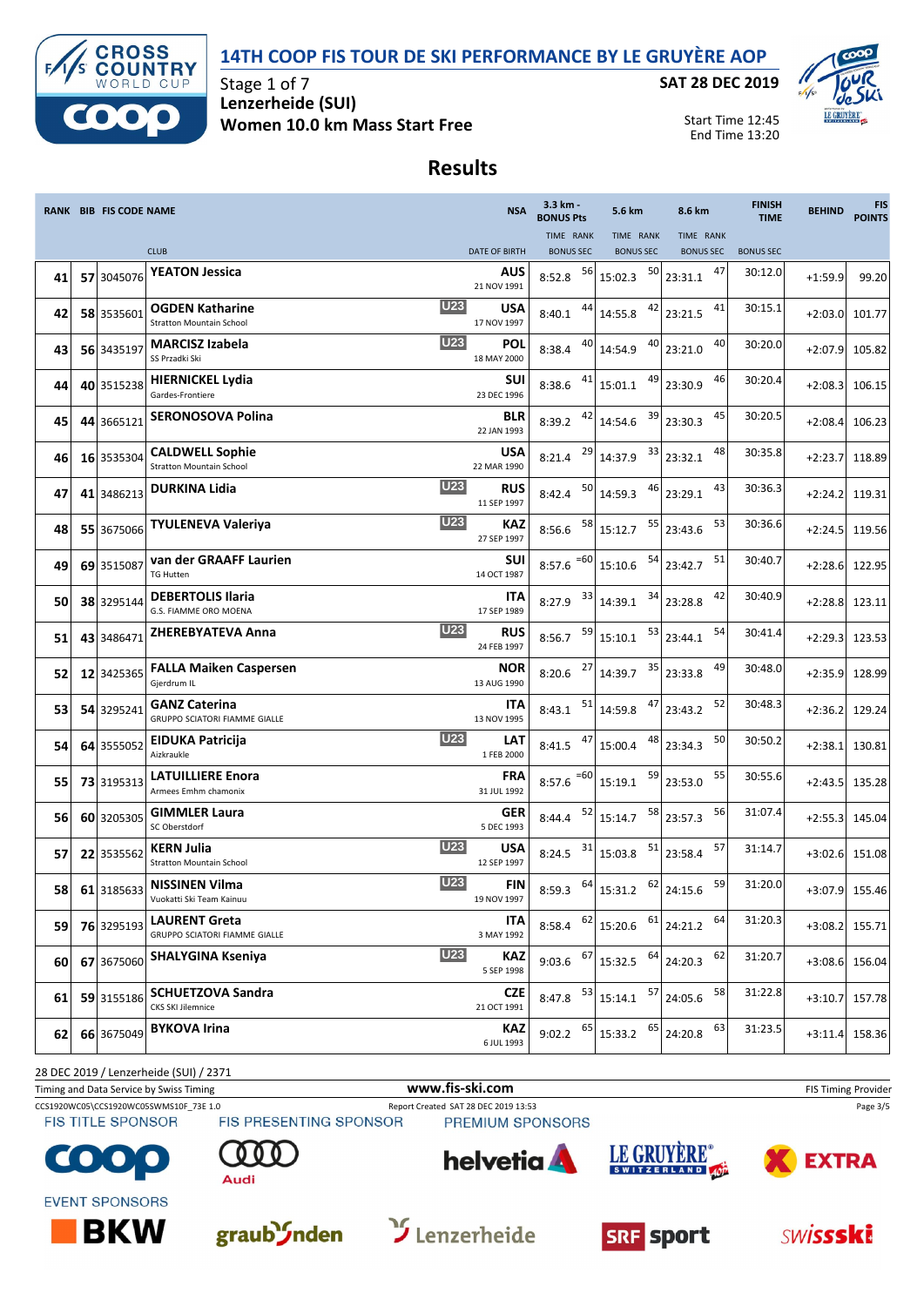#### **14TH COOP FIS TOUR DE SKI PERFORMANCE BY LE GRUYÈRE AOP**



Stage 1 of 7 **Lenzerheide (SUI) Women 10.0 km Mass Start Free** **SAT 28 DEC 2019**



Start Time 12:45 End Time 13:20

## **Results**

|     | <b>RANK BIB FIS CODE NAME</b> |                                                                     | <b>NSA</b>                | 3.3 km -<br><b>BONUS Pts</b>    | 5.6 km                                                                             | 8.6 km                                                                 | <b>FINISH</b><br><b>TIME</b> | <b>BEHIND</b> | <b>FIS</b><br><b>POINTS</b> |
|-----|-------------------------------|---------------------------------------------------------------------|---------------------------|---------------------------------|------------------------------------------------------------------------------------|------------------------------------------------------------------------|------------------------------|---------------|-----------------------------|
|     |                               |                                                                     |                           | TIME RANK                       | TIME RANK                                                                          | TIME RANK                                                              |                              |               |                             |
|     |                               | <b>CLUB</b>                                                         | <b>DATE OF BIRTH</b>      | <b>BONUS SEC</b>                | <b>BONUS SEC</b>                                                                   | <b>BONUS SEC</b>                                                       | <b>BONUS SEC</b>             |               |                             |
| 41  | 57 3045076                    | <b>YEATON Jessica</b>                                               | AUS<br>21 NOV 1991        | 56<br>8:52.8                    | 50<br>15:02.3                                                                      | 47<br>23:31.1                                                          | 30:12.0                      | $+1:59.9$     | 99.20                       |
| 42  | 58 3535601                    | U23<br><b>OGDEN Katharine</b><br><b>Stratton Mountain School</b>    | <b>USA</b><br>17 NOV 1997 | 44<br>8:40.1                    | 42<br>14:55.8                                                                      | 41<br>23:21.5                                                          | 30:15.1                      | $+2:03.0$     | 101.77                      |
| 43  | 56 3435197                    | <b>U23</b><br><b>MARCISZ Izabela</b><br>SS Przadki Ski              | POL<br>18 MAY 2000        | 40<br>8:38.4                    | 40<br>14:54.9                                                                      | 40<br>23:21.0                                                          | 30:20.0                      | $+2:07.9$     | 105.82                      |
| 44  | 40 3515238                    | <b>HIERNICKEL Lydia</b><br>Gardes-Frontiere                         | SUI<br>23 DEC 1996        | 41<br>8:38.6                    | 15:01.1                                                                            | 46<br>$49$ 23:30.9                                                     | 30:20.4                      | $+2:08.3$     | 106.15                      |
| 45  | 44 3665121                    | <b>SERONOSOVA Polina</b>                                            | <b>BLR</b><br>22 JAN 1993 | 42<br>8:39.2                    | 39<br>14:54.6                                                                      | 45<br>23:30.3                                                          | 30:20.5                      | $+2:08.4$     | 106.23                      |
| 46  | 16 3535304                    | <b>CALDWELL Sophie</b><br><b>Stratton Mountain School</b>           | <b>USA</b><br>22 MAR 1990 | 29<br>8:21.4                    | 33<br>14:37.9                                                                      | 48<br>23:32.1                                                          | 30:35.8                      | $+2:23.7$     | 118.89                      |
| 47  | 41 3486213                    | <b>U23</b><br><b>DURKINA Lidia</b>                                  | <b>RUS</b><br>11 SEP 1997 | 50<br>8:42.4                    | 46<br>14:59.3                                                                      | 43<br>23:29.1                                                          | 30:36.3                      | $+2:24.2$     | 119.31                      |
| 48  | 55 3675066                    | <b>U23</b><br><b>TYULENEVA Valeriya</b>                             | <b>KAZ</b><br>27 SEP 1997 | 8:56.6                          | $\begin{array}{c c} 58 & 15:12.7 \end{array}$                                      | 53<br>$\begin{array}{ c c } \hline 55 & 23:43.6 \\ \hline \end{array}$ | 30:36.6                      | $+2:24.5$     | 119.56                      |
| 49  | 69 3515087                    | van der GRAAFF Laurien<br><b>TG Hutten</b>                          | <b>SUI</b><br>14 OCT 1987 | $8:57.6$ <sup>=60</sup> 15:10.6 | 54                                                                                 | 51<br>23:42.7                                                          | 30:40.7                      | $+2:28.6$     | 122.95                      |
| 50  | 38 3295144                    | <b>DEBERTOLIS Ilaria</b><br>G.S. FIAMME ORO MOENA                   | <b>ITA</b><br>17 SEP 1989 | 33<br>8:27.9                    | 34<br>14:39.1                                                                      | 42<br>23:28.8                                                          | 30:40.9                      | $+2:28.8$     | 123.11                      |
| 51  | 43 3486471                    | <b>U23</b><br><b>ZHEREBYATEVA Anna</b>                              | RUS<br>24 FEB 1997        | 59<br>8:56.7                    | 53<br>15:10.1                                                                      | 54<br>23:44.1                                                          | 30:41.4                      | $+2:29.3$     | 123.53                      |
| 52  | 12 3425365                    | <b>FALLA Maiken Caspersen</b><br>Gjerdrum IL                        | <b>NOR</b><br>13 AUG 1990 | 27<br>8:20.6                    | 35<br>14:39.7                                                                      | 49<br>23:33.8                                                          | 30:48.0                      | $+2:35.9$     | 128.99                      |
| 53  | 54 3295241                    | <b>GANZ Caterina</b><br><b>GRUPPO SCIATORI FIAMME GIALLE</b>        | ITA<br>13 NOV 1995        | 51<br>8:43.1                    | 47<br>14:59.8                                                                      | 52<br>23:43.2                                                          | 30:48.3                      | $+2:36.2$     | 129.24                      |
| 54  | 64 3555052                    | <b>U23</b><br><b>EIDUKA Patricija</b><br>Aizkraukle                 | LAT<br>1 FEB 2000         | 47<br>8:41.5                    | 48<br>15:00.4                                                                      | 50<br>23:34.3                                                          | 30:50.2                      | $+2:38.1$     | 130.81                      |
| 55  | 73 3195313                    | <b>LATUILLIERE Enora</b><br>Armees Emhm chamonix                    | <b>FRA</b><br>31 JUL 1992 | $=60$<br>8:57.6                 | 59<br>15:19.1                                                                      | 55<br>23:53.0                                                          | 30:55.6                      | $+2:43.5$     | 135.28                      |
| 56  | 60 3205305                    | <b>GIMMLER Laura</b><br>SC Oberstdorf                               | GER<br>5 DEC 1993         | 52<br>8:44.4                    | 58<br>15:14.7                                                                      | 56<br>23:57.3                                                          | 31:07.4                      | $+2:55.3$     | 145.04                      |
| 57  | 22 3535562                    | U23<br><b>KERN Julia</b><br><b>Stratton Mountain School</b>         | <b>USA</b><br>12 SEP 1997 | 31<br>8:24.5                    | 51<br>15:03.8                                                                      | 57<br>23:58.4                                                          | 31:14.7                      | $+3:02.6$     | 151.08                      |
| 581 |                               | <b>U23</b><br>61 3185633 NISSINEN Vilma<br>Vuokatti Ski Team Kainuu | FIN<br>19 NOV 1997        | 8:59.3                          | $\begin{array}{ c c c c c } \hline 64 & 15:31.2 & 62 & 24:15.6 \hline \end{array}$ | 59                                                                     | 31:20.0                      |               | +3:07.9 155.46              |
| 591 | 76 3295193                    | LAURENT Greta<br><b>GRUPPO SCIATORI FIAMME GIALLE</b>               | ITA<br>3 MAY 1992         | 62<br>8:58.4                    | 61<br>15:20.6                                                                      | 64<br>24:21.2                                                          | 31:20.3                      | $+3:08.2$     | 155.71                      |
| 601 | 67 3675060                    | <b>U23</b><br>SHALYGINA Kseniya                                     | KAZ<br>5 SEP 1998         | 67<br>9:03.6                    | 64<br>15:32.5                                                                      | 62<br>24:20.3                                                          | 31:20.7                      | $+3:08.6$     | 156.04                      |
| 61  | 59 3155186                    | <b>SCHUETZOVA Sandra</b><br><b>CKS SKI Jilemnice</b>                | <b>CZE</b><br>21 OCT 1991 | 53<br>8:47.8                    | 57<br>15:14.1                                                                      | 58<br>24:05.6                                                          | 31:22.8                      | $+3:10.7$     | 157.78                      |
| 62  | 66 3675049                    | <b>BYKOVA Irina</b>                                                 | KAZ<br>6 JUL 1993         | 65<br>9:02.2                    | 65<br>15:33.2                                                                      | 63<br>24:20.8                                                          | 31:23.5                      | $+3:11.4$     | 158.36                      |

28 DEC 2019 / Lenzerheide (SUI) / 2371

Timing and Data Service by Swiss Timing **WWW.fis-Ski.com WWW.fis-Ski.com** FIS Timing Provider

CCS1920WC05\CCS1920WC05\CCS1920WC05SWMS10F\_73E 1.0 Report Created SAT 28 DEC 2019 13:53 Page 3/5<br>
FIS TITLE SPONSOR FIS PRESENTING SPONSOR PREMIUM SPONSORS PREMIUM SPONSORS







**EVENT SPONSORS** 

**BKW** 









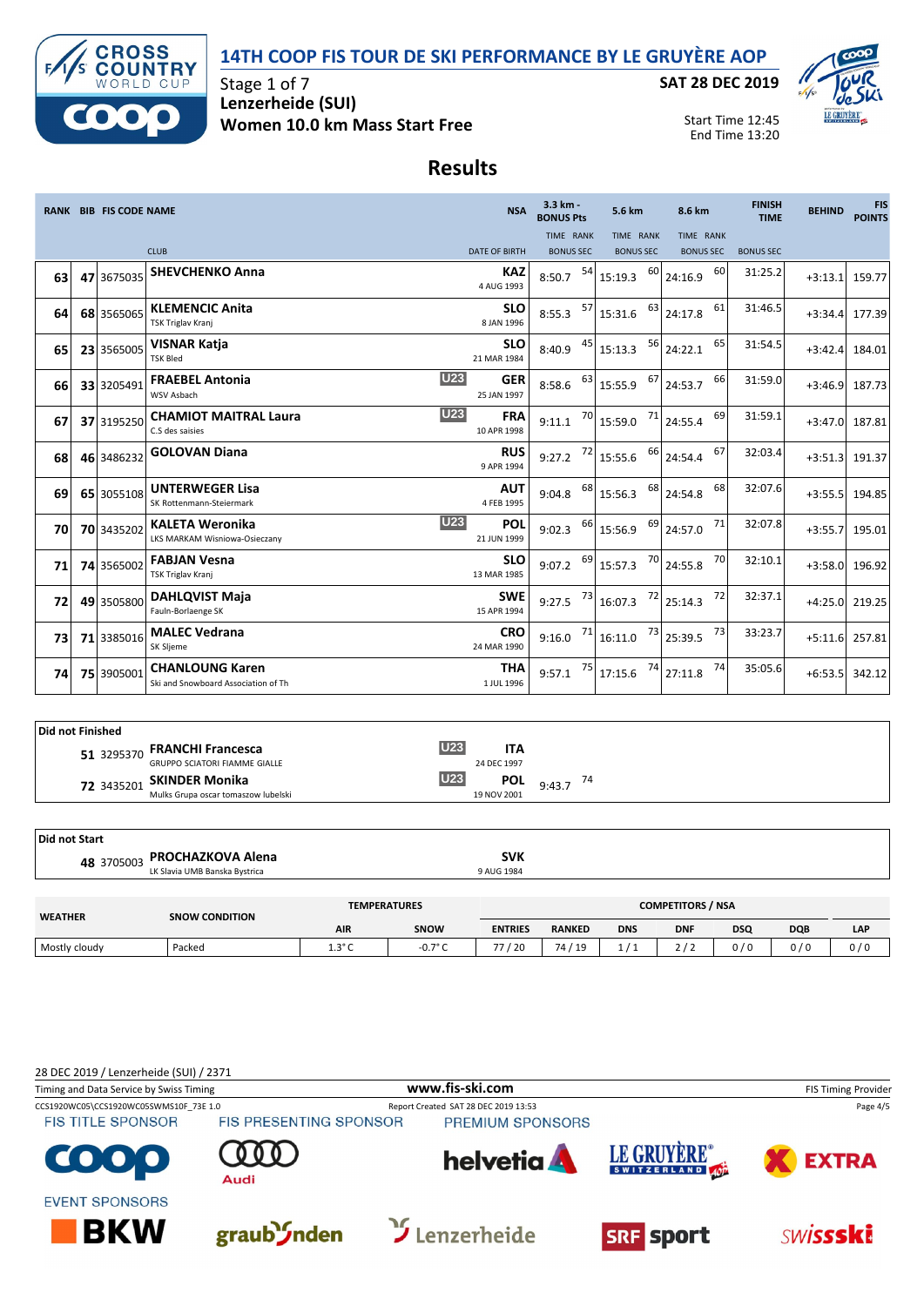



Stage 1 of 7 **Lenzerheide (SUI) Women 10.0 km Mass Start Free**

#### **SAT 28 DEC 2019**



Start Time 12:45 End Time 13:20

#### **Results**

|    | <b>RANK BIB FIS CODE NAME</b> |                                                                | <b>NSA</b>                | 3.3 km -<br><b>BONUS Pts</b>  |    | 5.6 km                               |    | 8.6 km                                        |    | <b>FINISH</b><br><b>TIME</b> | <b>BEHIND</b> | <b>FIS</b><br><b>POINTS</b> |
|----|-------------------------------|----------------------------------------------------------------|---------------------------|-------------------------------|----|--------------------------------------|----|-----------------------------------------------|----|------------------------------|---------------|-----------------------------|
|    |                               | <b>CLUB</b>                                                    | <b>DATE OF BIRTH</b>      | TIME RANK<br><b>BONUS SEC</b> |    | <b>TIME RANK</b><br><b>BONUS SEC</b> |    | TIME RANK<br><b>BONUS SEC</b>                 |    | <b>BONUS SEC</b>             |               |                             |
| 63 | 47 3675035                    | <b>SHEVCHENKO Anna</b>                                         | <b>KAZ</b><br>4 AUG 1993  | 8:50.7                        | 54 | 15:19.3                              | 60 | 24:16.9                                       | 60 | 31:25.2                      | $+3:13.1$     | 159.77                      |
| 64 | 68 3565065                    | <b>KLEMENCIC Anita</b><br>TSK Triglav Kranj                    | <b>SLO</b><br>8 JAN 1996  | 8:55.3                        | 57 | 15:31.6                              | 63 | 24:17.8                                       | 61 | 31:46.5                      | $+3:34.4$     | 177.39                      |
| 65 | 23 3565005                    | <b>VISNAR Katja</b><br><b>TSK Bled</b>                         | <b>SLO</b><br>21 MAR 1984 | 8:40.9                        | 45 | 15:13.3                              | 56 | 24:22.1                                       | 65 | 31:54.5                      | $+3:42.4$     | 184.01                      |
| 66 | 33 3205491                    | <b>U23</b><br><b>FRAEBEL Antonia</b><br>WSV Asbach             | <b>GER</b><br>25 JAN 1997 | 8:58.6                        | 63 | 15:55.9                              | 67 | 24:53.7                                       | 66 | 31:59.0                      | $+3:46.9$     | 187.73                      |
| 67 | 37 3195250                    | <b>U23</b><br><b>CHAMIOT MAITRAL Laura</b><br>C.S des saisies  | <b>FRA</b><br>10 APR 1998 | 9:11.1                        | 70 | 15:59.0                              | 71 | 24:55.4                                       | 69 | 31:59.1                      | $+3:47.0$     | 187.81                      |
| 68 | 46 3486232                    | <b>GOLOVAN Diana</b>                                           | <b>RUS</b><br>9 APR 1994  | 9:27.2                        | 72 | 15:55.6                              | 66 | 24:54.4                                       | 67 | 32:03.4                      | $+3:51.3$     | 191.37                      |
| 69 | 65 3055108                    | <b>UNTERWEGER Lisa</b><br>SK Rottenmann-Steiermark             | <b>AUT</b><br>4 FEB 1995  | 9:04.8                        | 68 | 15:56.3                              | 68 | 24:54.8                                       | 68 | 32:07.6                      | $+3:55.5$     | 194.85                      |
| 70 | 70 3435202                    | U23<br><b>KALETA Weronika</b><br>LKS MARKAM Wisniowa-Osieczany | POL<br>21 JUN 1999        | 9:02.3                        | 66 | 15:56.9                              | 69 | 24:57.0                                       | 71 | 32:07.8                      | $+3:55.7$     | 195.01                      |
| 71 | 74 3565002                    | <b>FABJAN Vesna</b><br>TSK Triglav Kranj                       | <b>SLO</b><br>13 MAR 1985 | 9:07.2                        | 69 | 15:57.3                              | 70 | 24:55.8                                       | 70 | 32:10.1                      | $+3:58.0$     | 196.92                      |
| 72 | 49 3505800                    | <b>DAHLQVIST Maja</b><br>Fauln-Borlaenge SK                    | <b>SWE</b><br>15 APR 1994 | 9:27.5                        | 73 | 16:07.3                              | 72 | 25:14.3                                       | 72 | 32:37.1                      | $+4:25.0$     | 219.25                      |
| 73 | 71 3385016                    | <b>MALEC Vedrana</b><br>SK Sljeme                              | <b>CRO</b><br>24 MAR 1990 | 9:16.0                        | 71 | 16:11.0                              |    | $\begin{array}{c c} 73 & 25:39.5 \end{array}$ | 73 | 33:23.7                      | $+5:11.6$     | 257.81                      |
| 74 | 75 3905001                    | <b>CHANLOUNG Karen</b><br>Ski and Snowboard Association of Th  | <b>THA</b><br>1 JUL 1996  | 9:57.1                        | 75 | 17:15.6                              | 74 | 27:11.8                                       | 74 | 35:05.6                      | $+6:53.5$     | 342.12                      |

| Did not Finished |                                      |                 |             |                                   |
|------------------|--------------------------------------|-----------------|-------------|-----------------------------------|
|                  | 51 3295370 FRANCHI Francesca         | U <sub>23</sub> | ITA         |                                   |
|                  | <b>GRUPPO SCIATORI FIAMME GIALLE</b> |                 | 24 DEC 1997 |                                   |
|                  | 72 3435201 SKINDER Monika            | <b>U23</b>      |             | <b>POL</b> $9:43.7$ <sup>74</sup> |
|                  | Mulks Grupa oscar tomaszow lubelski  |                 | 19 NOV 2001 |                                   |

| Did not Start  |                               |                     |            |                          |  |
|----------------|-------------------------------|---------------------|------------|--------------------------|--|
|                | 48 3705003 PROCHAZKOVA Alena  |                     | <b>SVK</b> |                          |  |
|                | LK Slavia UMB Banska Bystrica |                     | 9 AUG 1984 |                          |  |
|                |                               |                     |            |                          |  |
| <b>WEATHER</b> | <b>SNOW CONDITION</b>         | <b>TEMPERATURES</b> |            | <b>COMPETITORS / NSA</b> |  |

| <b>WEATHER</b> | <b>SNOW CONDITION</b> |                               |             |                |                                  |            |            |            |            |     |  |
|----------------|-----------------------|-------------------------------|-------------|----------------|----------------------------------|------------|------------|------------|------------|-----|--|
|                |                       | <b>AIR</b>                    | <b>SNOW</b> | <b>ENTRIES</b> | <b>RANKED</b>                    | <b>DNS</b> | <b>DNF</b> | <b>DSQ</b> | <b>DQB</b> | LAP |  |
| Mostly cloudy  | Packeo                | $\sim$ $\sim$<br><b></b><br>╰ | 70c         | / 20           | 19<br>$\overline{ }$<br>$\prime$ |            |            | $\cdot$    | 0/0        | 0/  |  |
|                |                       |                               |             |                |                                  |            |            |            |            |     |  |

28 DEC 2019 / Lenzerheide (SUI) / 2371 Timing and Data Service by Swiss Timing **WWW.fis-Ski.com WWW.fis-Ski.com** FIS Timing Provider CCS1920WC05\CCS1920WC05SWMS10F\_73E 1.0 Report Created SAT 28 DEC 2019 13:53 Page 4/5<br>FIS TITLE SPONSOR FIS PRESENTING SPONSOR PREMIUM SPONSORS **FIS TITLE SPONSOR** LE GRUYÈRE® helvetia **A EXTRA** G  $\bullet$ SWITZERLAND 40 **Audi EVENT SPONSORS**  $\mathfrak Y$  Lenzerheide **BKW** graub *Inden* **SRF** sport **SWISSSKi**